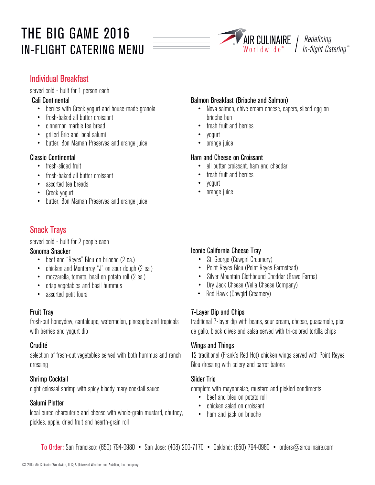# THE BIG GAME 2016 IN-FLIGHT CATERING MENU



I In-flight Catering<sup>sm</sup>

## Individual Breakfast

served cold - built for 1 person each

#### Cali Continental

- berries with Greek yogurt and house-made granola
- fresh-baked all butter croissant
- cinnamon marble tea bread
- grilled Brie and local salumi
- butter, Bon Maman Preserves and orange juice

## Classic Continental

- fresh-sliced fruit
- fresh-baked all butter croissant
- assorted tea breads
- Greek yogurt
- butter, Bon Maman Preserves and orange juice

## Snack Trays

served cold - built for 2 people each

## Sonoma Snacker

- beef and "Reyes" Bleu on brioche (2 ea.)
- chicken and Monterrey "J" on sour dough (2 ea.)
- mozzarella, tomato, basil on potato roll (2 ea.)
- crisp vegetables and basil hummus
- assorted petit fours

## Fruit Tray

fresh-cut honeydew, cantaloupe, watermelon, pineapple and tropicals with berries and yogurt dip

## Crudité

selection of fresh-cut vegetables served with both hummus and ranch dressing

## Shrimp Cocktail

eight colossal shrimp with spicy bloody mary cocktail sauce

## Salumi Platter

local cured charcuterie and cheese with whole-grain mustard, chutney, pickles, apple, dried fruit and hearth-grain roll

## Balmon Breakfast (Brioche and Salmon)

- Nova salmon, chive cream cheese, capers, sliced egg on brioche bun
- fresh fruit and berries
- yogurt
- orange juice

## Ham and Cheese on Croissant

- all butter croissant, ham and cheddar
- fresh fruit and berries
- yogurt
- orange juice

## Iconic California Cheese Tray

- St. George (Cowgirl Creamery)
- Point Reyes Bleu (Point Reyes Farmstead)
- Silver Mountain Clothbound Cheddar (Bravo Farms)
- Dry Jack Cheese (Vella Cheese Company)
- Red Hawk (Cowgirl Creamery)

## 7-Layer Dip and Chips

traditional 7-layer dip with beans, sour cream, cheese, guacamole, pico de gallo, black olives and salsa served with tri-colored tortilla chips

## Wings and Things

12 traditional (Frank's Red Hot) chicken wings served with Point Reyes Bleu dressing with celery and carrot batons

## Slider Trio

complete with mayonnaise, mustard and pickled condiments

- beef and bleu on potato roll
- chicken salad on croissant
- ham and jack on brioche